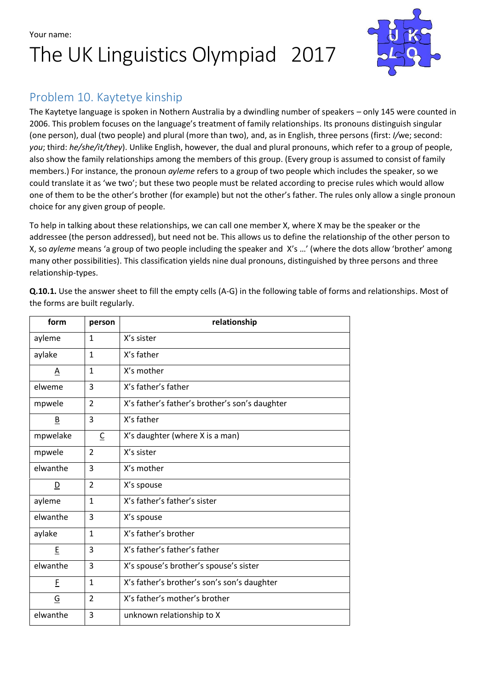Your name:

## The UK Linguistics Olympiad 2017



### Problem 10. Kaytetye kinship

The Kaytetye language is spoken in Nothern Australia by a dwindling number of speakers – only 145 were counted in 2006. This problem focuses on the language's treatment of family relationships. Its pronouns distinguish singular (one person), dual (two people) and plural (more than two), and, as in English, three persons (first: *I/*we; second: *you*; third: *he/she/it/they*). Unlike English, however, the dual and plural pronouns, which refer to a group of people, also show the family relationships among the members of this group. (Every group is assumed to consist of family members.) For instance, the pronoun *ayleme* refers to a group of two people which includes the speaker, so we could translate it as 'we two'; but these two people must be related according to precise rules which would allow one of them to be the other's brother (for example) but not the other's father. The rules only allow a single pronoun choice for any given group of people.

To help in talking about these relationships, we can call one member X, where X may be the speaker or the addressee (the person addressed), but need not be. This allows us to define the relationship of the other person to X, so *ayleme* means 'a group of two people including the speaker and X's …' (where the dots allow 'brother' among many other possibilities). This classification yields nine dual pronouns, distinguished by three persons and three relationship-types.

| form                     | person         | relationship                                   |
|--------------------------|----------------|------------------------------------------------|
| ayleme                   | $\mathbf{1}$   | X's sister                                     |
| aylake                   | $\mathbf{1}$   | X's father                                     |
| Α                        | $\mathbf{1}$   | X's mother                                     |
| elweme                   | 3              | X's father's father                            |
| mpwele                   | $\overline{2}$ | X's father's father's brother's son's daughter |
| $\underline{\mathsf{B}}$ | 3              | X's father                                     |
| mpwelake                 | C              | X's daughter (where X is a man)                |
| mpwele                   | $\overline{2}$ | X's sister                                     |
| elwanthe                 | 3              | X's mother                                     |
| $\overline{\mathsf{D}}$  | $\overline{2}$ | X's spouse                                     |
| ayleme                   | $\mathbf{1}$   | X's father's father's sister                   |
| elwanthe                 | 3              | X's spouse                                     |
| aylake                   | $\mathbf{1}$   | X's father's brother                           |
| E                        | 3              | X's father's father's father                   |
| elwanthe                 | 3              | X's spouse's brother's spouse's sister         |
| E                        | $\mathbf{1}$   | X's father's brother's son's son's daughter    |
| $\overline{G}$           | $\overline{2}$ | X's father's mother's brother                  |
| elwanthe                 | 3              | unknown relationship to X                      |

**Q.10.1.** Use the answer sheet to fill the empty cells (A-G) in the following table of forms and relationships. Most of the forms are built regularly.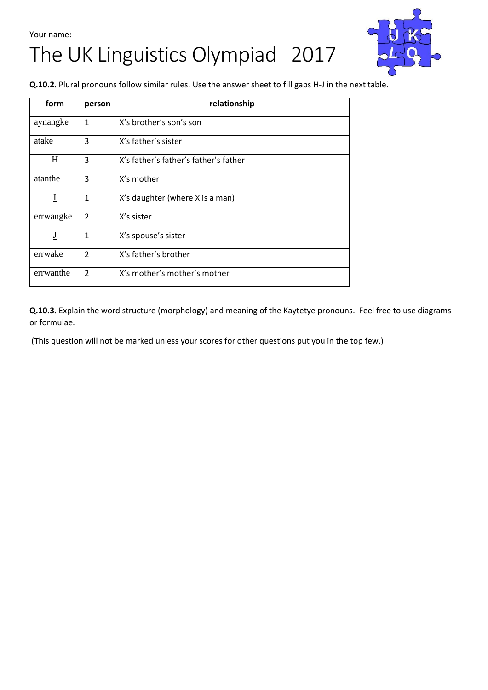## Your name: The UK Linguistics Olympiad 2017



**Q.10.2.** Plural pronouns follow similar rules. Use the answer sheet to fill gaps H-J in the next table.

| form                     | person        | relationship                          |
|--------------------------|---------------|---------------------------------------|
| aynangke                 | $\mathbf{1}$  | X's brother's son's son               |
| atake                    | 3             | X's father's sister                   |
| $\underline{\mathrm{H}}$ | 3             | X's father's father's father's father |
| atanthe                  | 3             | X's mother                            |
| I                        | 1             | X's daughter (where X is a man)       |
| errwangke                | $\mathcal{P}$ | X's sister                            |
| J                        | 1             | X's spouse's sister                   |
| errwake                  | $\mathcal{P}$ | X's father's brother                  |
| errwanthe                | $\mathcal{P}$ | X's mother's mother's mother          |

**Q.10.3.** Explain the word structure (morphology) and meaning of the Kaytetye pronouns. Feel free to use diagrams or formulae.

(This question will not be marked unless your scores for other questions put you in the top few.)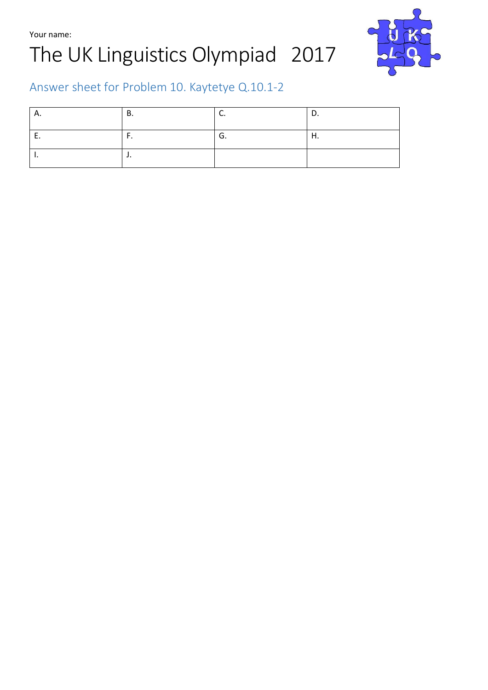Your name:

# The UK Linguistics Olympiad 2017



### Answer sheet for Problem 10. Kaytetye Q.10.1-2

| Α.  | В.       | J.      | <u>.</u> |
|-----|----------|---------|----------|
| . . | . .      | ⌒<br>u. | п.       |
| . . | <b>.</b> |         |          |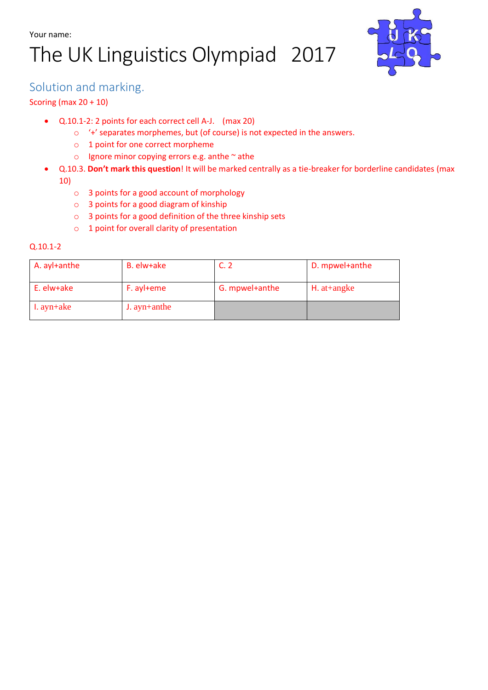# The UK Linguistics Olympiad 2017



### Solution and marking.

#### Scoring (max 20 + 10)

- Q.10.1-2: 2 points for each correct cell A-J. (max 20)
	- o '+' separates morphemes, but (of course) is not expected in the answers.
	- o 1 point for one correct morpheme
	- $\circ$  Ignore minor copying errors e.g. anthe  $\sim$  athe
	- Q.10.3. **Don't mark this question**! It will be marked centrally as a tie-breaker for borderline candidates (max 10)
		- o 3 points for a good account of morphology
		- o 3 points for a good diagram of kinship
		- o 3 points for a good definition of the three kinship sets
		- o 1 point for overall clarity of presentation

#### Q.10.1-2

| A. ayl+anthe | B. elw+ake     |                | D. mpwel+anthe  |
|--------------|----------------|----------------|-----------------|
| E. elw+ake   | F. ayl+eme     | G. mpwel+anthe | $H.$ at + angke |
| $l. ayn+ake$ | $J.$ ayn+anthe |                |                 |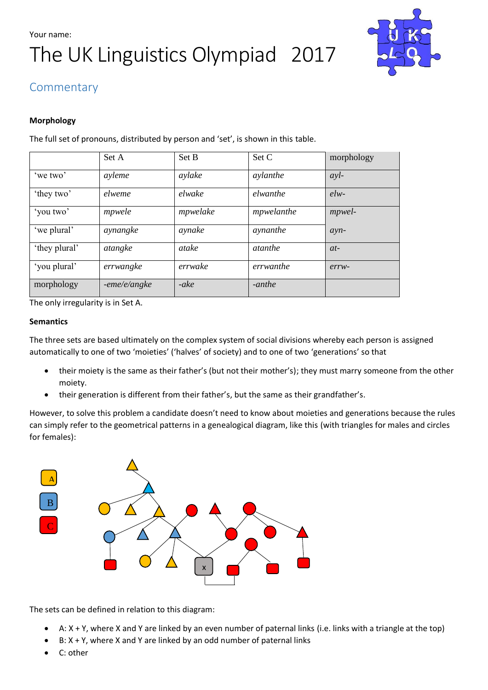## Your name: The UK Linguistics Olympiad 2017



### Commentary

#### **Morphology**

The full set of pronouns, distributed by person and 'set', is shown in this table.

|               | Set A        | Set B    | Set C          | morphology |
|---------------|--------------|----------|----------------|------------|
| 'we two'      | ayleme       | aylake   | aylanthe       | avl        |
| 'they two'    | elweme       | elwake   | elwanthe       | $elw-$     |
| 'you two'     | mpwele       | mpwelake | mpwelanthe     | mpwel-     |
| 'we plural'   | aynangke     | aynake   | aynanthe       | $ayn-$     |
| 'they plural' | atangke      | atake    | <i>atanthe</i> | $at-$      |
| 'you plural'  | errwangke    | errwake  | errwanthe      | $errw-$    |
| morphology    | -eme/e/angke | -ake     | -anthe         |            |

The only irregularity is in Set A.

#### **Semantics**

The three sets are based ultimately on the complex system of social divisions whereby each person is assigned automatically to one of two 'moieties' ('halves' of society) and to one of two 'generations' so that

- their moiety is the same as their father's (but not their mother's); they must marry someone from the other moiety.
- their generation is different from their father's, but the same as their grandfather's.

However, to solve this problem a candidate doesn't need to know about moieties and generations because the rules can simply refer to the geometrical patterns in a genealogical diagram, like this (with triangles for males and circles for females):



The sets can be defined in relation to this diagram:

- A: X + Y, where X and Y are linked by an even number of paternal links (i.e. links with a triangle at the top)
- $B: X + Y$ , where X and Y are linked by an odd number of paternal links
- C: other